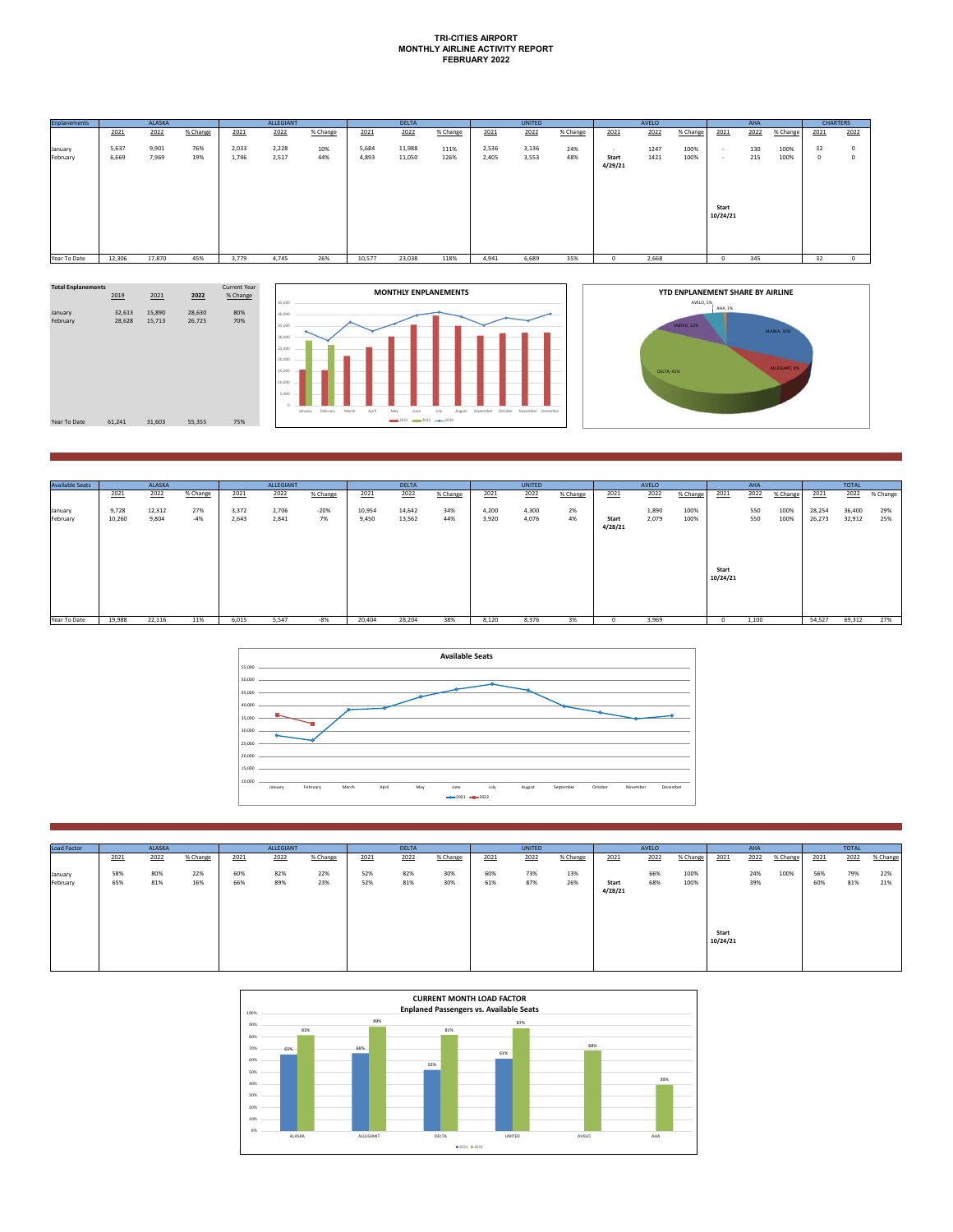## **TRI-CITIES AIRPORT MONTHLY AIRLINE ACTIVITY REPORT FEBRUARY 2022**

| <b>Enplanements</b> |        | ALASKA |          |       | ALLEGIANT |          |        | <b>DELTA</b> |          |       | <b>UNITED</b> |          |         | AVELO |          |          | AHA  |          | <b>CHARTERS</b> |      |
|---------------------|--------|--------|----------|-------|-----------|----------|--------|--------------|----------|-------|---------------|----------|---------|-------|----------|----------|------|----------|-----------------|------|
|                     | 2021   | 2022   | % Change | 2021  | 2022      | % Change | 2021   | 2022         | % Change | 2021  | 2022          | % Change | 2021    | 2022  | % Change | 2021     | 2022 | % Change | 2021            | 2022 |
| January             | 5,637  | 9,901  | 76%      | 2,033 | 2,228     | 10%      | 5,684  | 11,988       | 111%     | 2,536 | 3,136         | 24%      | $\sim$  | 1247  | 100%     | - 1      | 130  | 100%     | 32              | 0    |
| February            | 6,669  | 7,969  | 19%      | 1,746 | 2,517     | 44%      | 4.893  | 11,050       | 126%     | 2,405 | 3,553         | 48%      | Start   | 1421  | 100%     | - 1      | 215  | 100%     | $\circ$         | 0    |
|                     |        |        |          |       |           |          |        |              |          |       |               |          | 4/29/21 |       |          |          |      |          |                 |      |
|                     |        |        |          |       |           |          |        |              |          |       |               |          |         |       |          |          |      |          |                 |      |
|                     |        |        |          |       |           |          |        |              |          |       |               |          |         |       |          |          |      |          |                 |      |
|                     |        |        |          |       |           |          |        |              |          |       |               |          |         |       |          | Start    |      |          |                 |      |
|                     |        |        |          |       |           |          |        |              |          |       |               |          |         |       |          | 10/24/21 |      |          |                 |      |
|                     |        |        |          |       |           |          |        |              |          |       |               |          |         |       |          |          |      |          |                 |      |
|                     |        |        |          |       |           |          |        |              |          |       |               |          |         |       |          |          |      |          |                 |      |
|                     |        |        |          |       |           |          |        |              |          |       |               |          |         |       |          |          |      |          |                 |      |
| Year To Date        | 12,306 | 17,870 | 45%      | 3,779 | 4,745     | 26%      | 10,577 | 23,038       | 118%     | 4,941 | 6,689         | 35%      |         | 2,668 |          | n        | 345  |          | 32              |      |





| <b>Available Seats</b> |        | <b>ALASKA</b> |          |       | ALLEGIANT |          |        | <b>DELTA</b> |          |       | UNITED |          |         | AVELO |          |          | AHA   |          |        | <b>TOTAL</b> |          |
|------------------------|--------|---------------|----------|-------|-----------|----------|--------|--------------|----------|-------|--------|----------|---------|-------|----------|----------|-------|----------|--------|--------------|----------|
|                        | 2021   | 2022          | % Change | 2021  | 2022      | % Change | 2021   | 2022         | % Change | 2021  | 2022   | % Change | 2021    | 2022  | % Change | 2021     | 2022  | % Change | 2021   | 2022         | % Change |
| January                | 9,728  | 12,312        | 27%      | 3,372 | 2,706     | $-20%$   | 10,954 | 14,642       | 34%      | 4,200 | 4,300  | 2%       |         | 1,890 | 100%     |          | 550   | 100%     | 28,254 | 36,400       | 29%      |
| February               | 10,260 | 9,804         | -4%      | 2,643 | 2,841     | 7%       | 9,450  | 13,562       | 44%      | 3,920 | 4,076  | 4%       | Start   | 2,079 | 100%     |          | 550   | 100%     | 26,273 | 32,912       | 25%      |
|                        |        |               |          |       |           |          |        |              |          |       |        |          | 4/28/21 |       |          |          |       |          |        |              |          |
|                        |        |               |          |       |           |          |        |              |          |       |        |          |         |       |          |          |       |          |        |              |          |
|                        |        |               |          |       |           |          |        |              |          |       |        |          |         |       |          |          |       |          |        |              |          |
|                        |        |               |          |       |           |          |        |              |          |       |        |          |         |       |          |          |       |          |        |              |          |
|                        |        |               |          |       |           |          |        |              |          |       |        |          |         |       |          | Start    |       |          |        |              |          |
|                        |        |               |          |       |           |          |        |              |          |       |        |          |         |       |          | 10/24/21 |       |          |        |              |          |
|                        |        |               |          |       |           |          |        |              |          |       |        |          |         |       |          |          |       |          |        |              |          |
|                        |        |               |          |       |           |          |        |              |          |       |        |          |         |       |          |          |       |          |        |              |          |
|                        |        |               |          |       |           |          |        |              |          |       |        |          |         |       |          |          |       |          |        |              |          |
| Year To Date           | 19,988 | 22,116        | 11%      | 6,015 | 5,547     | -8%      | 20,404 | 28,204       | 38%      | 8,120 | 8,376  | 3%       |         | 3,969 |          | 0        | 1,100 |          | 54,527 | 69,312       | 27%      |



| <b>Load Factor</b>  | ALASKA     |            |            | ALLEGIANT  |            |            | <b>DELTA</b> |            |            | UNITED     |            |            | AVELO            |            |              | AHA               |            |          | <b>TOTAL</b> |            |            |
|---------------------|------------|------------|------------|------------|------------|------------|--------------|------------|------------|------------|------------|------------|------------------|------------|--------------|-------------------|------------|----------|--------------|------------|------------|
|                     | 2021       | 2022       | % Change   | 2021       | 2022       | % Change   | 2021         | 2022       | % Change   | 2021       | 2022       | % Change   | 2021             | 2022       | % Change     | 2021              | 2022       | % Change | 2021         | 2022       | % Change   |
| January<br>February | 58%<br>65% | 80%<br>81% | 22%<br>16% | 60%<br>66% | 82%<br>89% | 22%<br>23% | 52%<br>52%   | 82%<br>81% | 30%<br>30% | 60%<br>61% | 73%<br>87% | 13%<br>26% | Start<br>4/28/21 | 66%<br>68% | 100%<br>100% |                   | 24%<br>39% | 100%     | 56%<br>60%   | 79%<br>81% | 22%<br>21% |
|                     |            |            |            |            |            |            |              |            |            |            |            |            |                  |            |              | Start<br>10/24/21 |            |          |              |            |            |